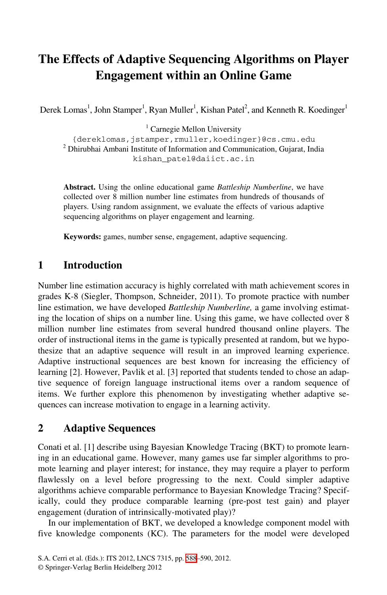# **The Effects of Adaptive Sequencing Algorithms on Player Engagement within an Online Game**

Derek Lomas<sup>1</sup>, John Stamper<sup>1</sup>, Ryan Muller<sup>1</sup>, Kishan Patel<sup>2</sup>, and Kenneth R. Koedinger<sup>1</sup>

<sup>1</sup> Carnegie Mellon University

{dereklomas,jstamper,rmuller,koedinger}@cs.cmu.edu <sup>2</sup> Dhirubhai Ambani Institute of Information and Communication, Gujarat, India kishan\_patel@daiict.ac.in

**Abstract.** Using the online educational game *Battleship Numberline*, we have collected over 8 million number line estimates from hundreds of thousands of players. Using random assignment, we evaluate the effects of various adaptive sequencing algorithms on player engagement and learning.

**Keywords:** games, number sense, engagement, adaptive sequencing.

### **1 Introduction**

Number line estimation accuracy is highly correlated with math achievement scores in grades K-8 (Siegler, Thompson, Schneider, 2011). To promote practice with number line estimation, we have developed *Battleship Numberline,* a game involving estimating the location of ships on a number line. Using this game, we have collected over 8 million number line estimates from several hundred thousand online players. The order of instructional items in the game is typically presented at random, but we hypothesize that an adaptive sequence will result in an improved learning experience. Adaptive instructional sequences are best known for increasing the efficiency of learning [2]. However, Pavlik et al. [3] reported that students tended to chose an adaptive sequence of foreign language instructional items over a random sequence of items. We further explore this phenomenon by investigating whether adaptive sequences can increase motivation to engage in a learning activity.

#### **2 Adaptive Sequences**

Conati et al. [1] describe using Bayesian Knowledge Tracing (BKT) to promote learning in an educational game. However, many games use far simpler algorithms to promote learning and player interest; for instance, they may require a player to perform flawlessly on a level before progressing to the next. Could simpler adaptive algorithms achieve comparable performance to Bayesian Knowledge Tracing? Specifically, could they produce comparable learning (pre-post test gain) and player engagement (duration of intrinsically-motivated play)?

In our implementation of BKT, we developed a knowledge component model with five knowledge components (KC). The parameters for the model were developed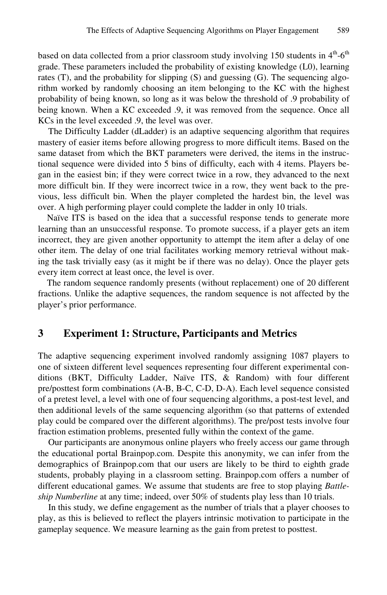based on data collected from a prior classroom study involving 150 students in  $4<sup>th</sup>$ -6<sup>th</sup> grade. These parameters included the probability of existing knowledge (L0), learning rates (T), and the probability for slipping (S) and guessing (G). The sequencing algorithm worked by randomly choosing an item belonging to the KC with the highest probability of being known, so long as it was below the threshold of .9 probability of being known. When a KC exceeded .9, it was removed from the sequence. Once all KCs in the level exceeded .9, the level was over.

The Difficulty Ladder (dLadder) is an adaptive sequencing algorithm that requires mastery of easier items before allowing progress to more difficult items. Based on the same dataset from which the BKT parameters were derived, the items in the instructional sequence were divided into 5 bins of difficulty, each with 4 items. Players began in the easiest bin; if they were correct twice in a row, they advanced to the next more difficult bin. If they were incorrect twice in a row, they went back to the previous, less difficult bin. When the player completed the hardest bin, the level was over. A high performing player could complete the ladder in only 10 trials.

 Naïve ITS is based on the idea that a successful response tends to generate more learning than an unsuccessful response. To promote success, if a player gets an item incorrect, they are given another opportunity to attempt the item after a delay of one other item. The delay of one trial facilitates working memory retrieval without making the task trivially easy (as it might be if there was no delay). Once the player gets every item correct at least once, the level is over.

 The random sequence randomly presents (without replacement) one of 20 different fractions. Unlike the adaptive sequences, the random sequence is not affected by the player's prior performance.

#### **3 Experiment 1: Structure, Participants and Metrics**

The adaptive sequencing experiment involved randomly assigning 1087 players to one of sixteen different level sequences representing four different experimental conditions (BKT, Difficulty Ladder, Naïve ITS, & Random) with four different pre/posttest form combinations (A-B, B-C, C-D, D-A). Each level sequence consisted of a pretest level, a level with one of four sequencing algorithms, a post-test level, and then additional levels of the same sequencing algorithm (so that patterns of extended play could be compared over the different algorithms). The pre/post tests involve four fraction estimation problems, presented fully within the context of the game.

Our participants are anonymous online players who freely access our game through the educational portal Brainpop.com. Despite this anonymity, we can infer from the demographics of Brainpop.com that our users are likely to be third to eighth grade students, probably playing in a classroom setting. Brainpop.com offers a number of different educational games. We assume that students are free to stop playing *Battleship Numberline* at any time; indeed, over 50% of students play less than 10 trials.

In this study, we define engagement as the number of trials that a player chooses to play, as this is believed to reflect the players intrinsic motivation to participate in the gameplay sequence. We measure learning as the gain from pretest to posttest.